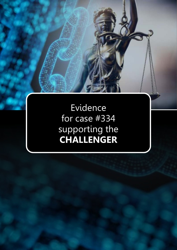Evidence for case #334 supporting the **CHALLENGER**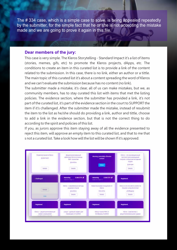The # 334 case, which is a simple case to solve, is being appealed repeatedly by the submitter, for the simple fact that he or she is not accepting the mistake made and we are going to prove it again in this file.

## **Dear members of the jury:**

This case is very simple. The Kleros Storytelling - Standard Impact it's a list of ítems (stories, memes, gifs, etc) to promote the Kleros projects, dApps, etc. The conditions to create an item in this curated list is to provide a link of the content related to the submission. In this case, there is no link, either an author or a tittle. The main topic of this curated list it's about a content spreading the word of Kleros and we can't evaluate the submission because has no content (no link).

The submitter made a mistake, it's clear, all of us can make mistakes, but we, as community members, has to stay curated this list with items that met the listing policies. The evidence section, where the submitter has provided a link, it's not part of the curated list, it's part of the evidence section in the court to SUPPORT the item if it's challenged. After the submitter made the mistake, instead of resubmit the item to the list as he/she should do providing a link, author and tittle, choose to add a link in the evidence section, but that is not the correct thing to do according to the spirit and policies of this list.

If you, as jurors approve this item staying away of all the evidence presented to reject this item, will approve an empty item to this curated list, and that to me that s not a curated list. Take a look how will the list will be shown If it's approved: